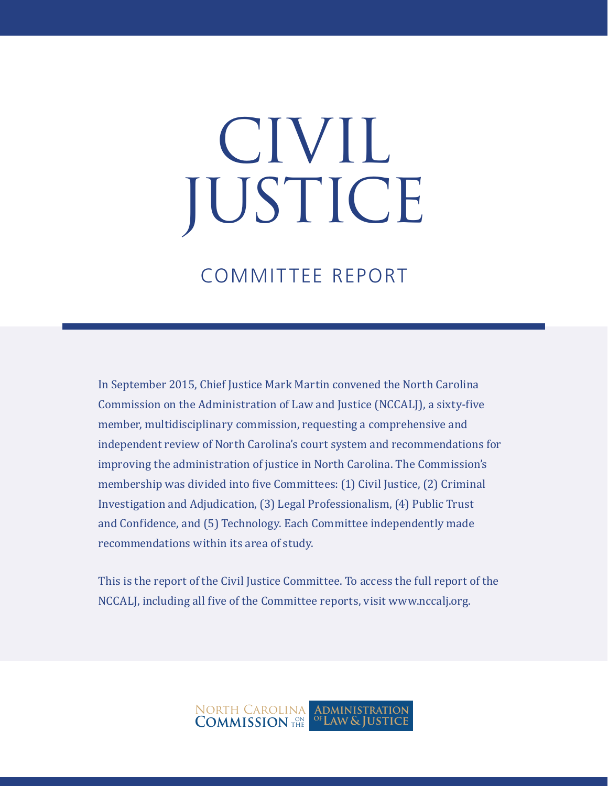# CIVIL JUSTICE

## COMMITTEE REPORT

In September 2015, Chief Justice Mark Martin convened the North Carolina Commission on the Administration of Law and Justice (NCCALJ), a sixty-five member, multidisciplinary commission, requesting a comprehensive and independent review of North Carolina's court system and recommendations for improving the administration of justice in North Carolina. The Commission's membership was divided into five Committees: (1) Civil Justice, (2) Criminal Investigation and Adjudication, (3) Legal Professionalism, (4) Public Trust and Confidence, and (5) Technology. Each Committee independently made recommendations within its area of study.

This is the report of the Civil Justice Committee. To access the full report of the NCCALJ, including all five of the Committee reports, visit www.nccalj.org.

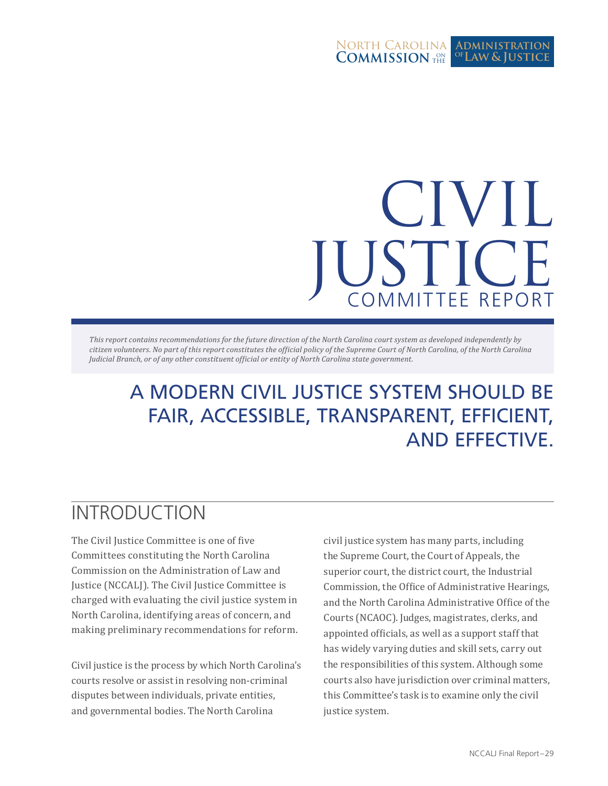#### North Carolina **COMMISSION** THE **Administration Law & Justice of**

## COMMITTEE REPORT CIVIL JUSTICE

*This report contains recommendations for the future direction of the North Carolina court system as developed independently by citizen volunteers. No part of this report constitutes the official policy of the Supreme Court of North Carolina, of the North Carolina Judicial Branch, or of any other constituent official or entity of North Carolina state government.*

## A MODERN CIVIL JUSTICE SYSTEM SHOULD BE FAIR, ACCESSIBLE, TRANSPARENT, EFFICIENT, AND EFFECTIVE.

## INTRODUCTION

The Civil Justice Committee is one of five Committees constituting the North Carolina Commission on the Administration of Law and Justice (NCCALJ). The Civil Justice Committee is charged with evaluating the civil justice system in North Carolina, identifying areas of concern, and making preliminary recommendations for reform.

Civil justice is the process by which North Carolina's courts resolve or assist in resolving non-criminal disputes between individuals, private entities, and governmental bodies. The North Carolina

civil justice system has many parts, including the Supreme Court, the Court of Appeals, the superior court, the district court, the Industrial Commission, the Office of Administrative Hearings, and the North Carolina Administrative Office of the Courts (NCAOC). Judges, magistrates, clerks, and appointed officials, as well as a support staff that has widely varying duties and skill sets, carry out the responsibilities of this system. Although some courts also have jurisdiction over criminal matters, this Committee's task is to examine only the civil justice system.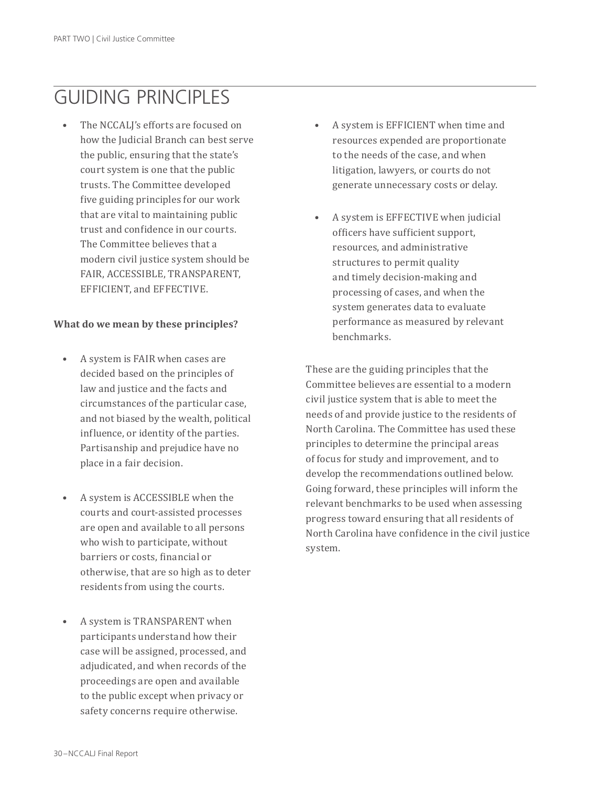## GUIDING PRINCIPLES

The NCCALJ's efforts are focused on how the Judicial Branch can best serve the public, ensuring that the state's court system is one that the public trusts. The Committee developed five guiding principles for our work that are vital to maintaining public trust and confidence in our courts. The Committee believes that a modern civil justice system should be FAIR, ACCESSIBLE, TRANSPARENT, EFFICIENT, and EFFECTIVE.

#### **What do we mean by these principles?**

- A system is FAIR when cases are decided based on the principles of law and justice and the facts and circumstances of the particular case, and not biased by the wealth, political influence, or identity of the parties. Partisanship and prejudice have no place in a fair decision.
- A system is ACCESSIBLE when the courts and court-assisted processes are open and available to all persons who wish to participate, without barriers or costs, financial or otherwise, that are so high as to deter residents from using the courts.
- A system is TRANSPARENT when participants understand how their case will be assigned, processed, and adjudicated, and when records of the proceedings are open and available to the public except when privacy or safety concerns require otherwise.
- A system is EFFICIENT when time and resources expended are proportionate to the needs of the case, and when litigation, lawyers, or courts do not generate unnecessary costs or delay.
- A system is EFFECTIVE when judicial officers have sufficient support, resources, and administrative structures to permit quality and timely decision-making and processing of cases, and when the system generates data to evaluate performance as measured by relevant benchmarks.

These are the guiding principles that the Committee believes are essential to a modern civil justice system that is able to meet the needs of and provide justice to the residents of North Carolina. The Committee has used these principles to determine the principal areas of focus for study and improvement, and to develop the recommendations outlined below. Going forward, these principles will inform the relevant benchmarks to be used when assessing progress toward ensuring that all residents of North Carolina have confidence in the civil justice system.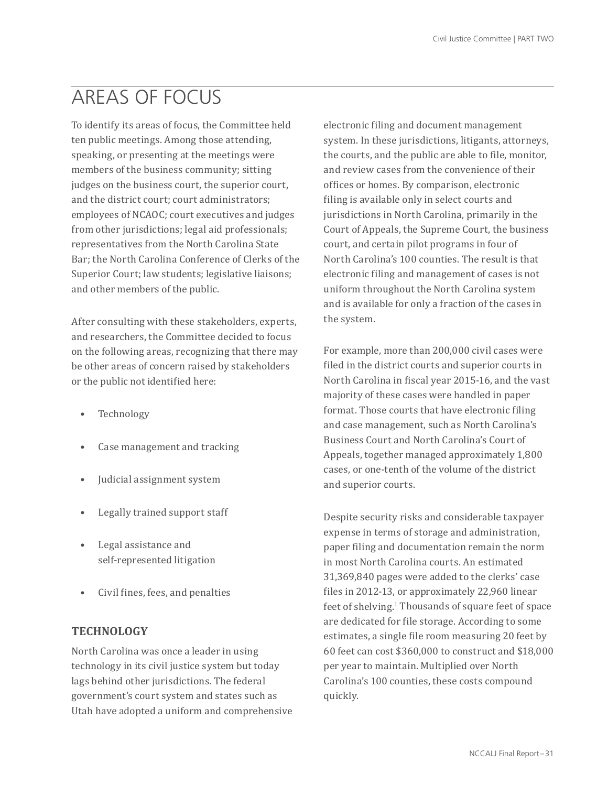## AREAS OF FOCUS

To identify its areas of focus, the Committee held ten public meetings. Among those attending, speaking, or presenting at the meetings were members of the business community; sitting judges on the business court, the superior court, and the district court; court administrators; employees of NCAOC; court executives and judges from other jurisdictions; legal aid professionals; representatives from the North Carolina State Bar; the North Carolina Conference of Clerks of the Superior Court; law students; legislative liaisons; and other members of the public.

After consulting with these stakeholders, experts, and researchers, the Committee decided to focus on the following areas, recognizing that there may be other areas of concern raised by stakeholders or the public not identified here:

- **Technology**
- Case management and tracking
- Judicial assignment system
- Legally trained support staff
- Legal assistance and self-represented litigation
- Civil fines, fees, and penalties

#### **TECHNOLOGY**

North Carolina was once a leader in using technology in its civil justice system but today lags behind other jurisdictions. The federal government's court system and states such as Utah have adopted a uniform and comprehensive

electronic filing and document management system. In these jurisdictions, litigants, attorneys, the courts, and the public are able to file, monitor, and review cases from the convenience of their offices or homes. By comparison, electronic filing is available only in select courts and jurisdictions in North Carolina, primarily in the Court of Appeals, the Supreme Court, the business court, and certain pilot programs in four of North Carolina's 100 counties. The result is that electronic filing and management of cases is not uniform throughout the North Carolina system and is available for only a fraction of the cases in the system.

For example, more than 200,000 civil cases were filed in the district courts and superior courts in North Carolina in fiscal year 2015-16, and the vast majority of these cases were handled in paper format. Those courts that have electronic filing and case management, such as North Carolina's Business Court and North Carolina's Court of Appeals, together managed approximately 1,800 cases, or one-tenth of the volume of the district and superior courts.

Despite security risks and considerable taxpayer expense in terms of storage and administration, paper filing and documentation remain the norm in most North Carolina courts. An estimated 31,369,840 pages were added to the clerks' case files in 2012-13, or approximately 22,960 linear feet of shelving.1 Thousands of square feet of space are dedicated for file storage. According to some estimates, a single file room measuring 20 feet by 60 feet can cost \$360,000 to construct and \$18,000 per year to maintain. Multiplied over North Carolina's 100 counties, these costs compound quickly.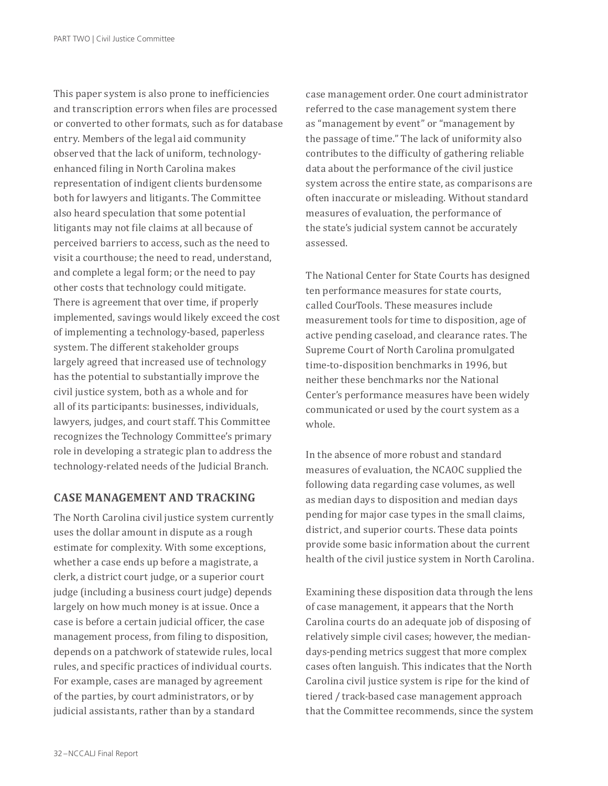This paper system is also prone to inefficiencies and transcription errors when files are processed or converted to other formats, such as for database entry. Members of the legal aid community observed that the lack of uniform, technologyenhanced filing in North Carolina makes representation of indigent clients burdensome both for lawyers and litigants. The Committee also heard speculation that some potential litigants may not file claims at all because of perceived barriers to access, such as the need to visit a courthouse; the need to read, understand, and complete a legal form; or the need to pay other costs that technology could mitigate. There is agreement that over time, if properly implemented, savings would likely exceed the cost of implementing a technology-based, paperless system. The different stakeholder groups largely agreed that increased use of technology has the potential to substantially improve the civil justice system, both as a whole and for all of its participants: businesses, individuals, lawyers, judges, and court staff. This Committee recognizes the Technology Committee's primary role in developing a strategic plan to address the technology-related needs of the Judicial Branch.

#### **CASE MANAGEMENT AND TRACKING**

The North Carolina civil justice system currently uses the dollar amount in dispute as a rough estimate for complexity. With some exceptions, whether a case ends up before a magistrate, a clerk, a district court judge, or a superior court judge (including a business court judge) depends largely on how much money is at issue. Once a case is before a certain judicial officer, the case management process, from filing to disposition, depends on a patchwork of statewide rules, local rules, and specific practices of individual courts. For example, cases are managed by agreement of the parties, by court administrators, or by judicial assistants, rather than by a standard

case management order. One court administrator referred to the case management system there as "management by event" or "management by the passage of time." The lack of uniformity also contributes to the difficulty of gathering reliable data about the performance of the civil justice system across the entire state, as comparisons are often inaccurate or misleading. Without standard measures of evaluation, the performance of the state's judicial system cannot be accurately assessed.

The National Center for State Courts has designed ten performance measures for state courts, called CourTools. These measures include measurement tools for time to disposition, age of active pending caseload, and clearance rates. The Supreme Court of North Carolina promulgated time-to-disposition benchmarks in 1996, but neither these benchmarks nor the National Center's performance measures have been widely communicated or used by the court system as a whole.

In the absence of more robust and standard measures of evaluation, the NCAOC supplied the following data regarding case volumes, as well as median days to disposition and median days pending for major case types in the small claims, district, and superior courts. These data points provide some basic information about the current health of the civil justice system in North Carolina.

Examining these disposition data through the lens of case management, it appears that the North Carolina courts do an adequate job of disposing of relatively simple civil cases; however, the mediandays-pending metrics suggest that more complex cases often languish. This indicates that the North Carolina civil justice system is ripe for the kind of tiered / track-based case management approach that the Committee recommends, since the system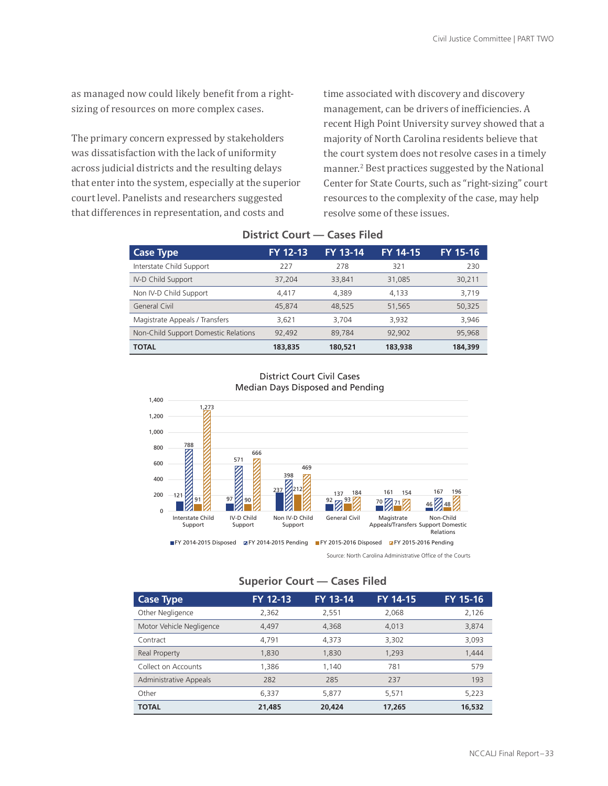as managed now could likely benefit from a rightsizing of resources on more complex cases.

The primary concern expressed by stakeholders was dissatisfaction with the lack of uniformity across judicial districts and the resulting delays that enter into the system, especially at the superior court level. Panelists and researchers suggested that differences in representation, and costs and

Other

Motor Vehicle

time associated with discovery and discovery management, can be drivers of inefficiencies. A recent High Point University survey showed that a majority of North Carolina residents believe that the court system does not resolve cases in a timely manner.<sup>2</sup> Best practices suggested by the National Center for State Courts, such as "right-sizing" court resources to the complexity of the case, may help resolve some of these issues.

| <b>Case Type</b>                     | FY 12-13 | FY 13-14 | <b>FY 14-15</b> | FY 15-16 |
|--------------------------------------|----------|----------|-----------------|----------|
| Interstate Child Support             | 227      | 278      | 321             | 230      |
| IV-D Child Support                   | 37,204   | 33,841   | 31,085          | 30,211   |
| Non IV-D Child Support               | 4,417    | 4,389    | 4,133           | 3,719    |
| General Civil                        | 45,874   | 48,525   | 51,565          | 50,325   |
| Magistrate Appeals / Transfers       | 3,621    | 3,704    | 3,932           | 3,946    |
| Non-Child Support Domestic Relations | 92,492   | 89,784   | 92,902          | 95,968   |
| <b>TOTAL</b>                         | 183,835  | 180,521  | 183,938         | 184,399  |
|                                      |          |          |                 |          |

#### **District Court — Cases Filed**



#### District Court Civil Cases Median Days Disposed and Pending

Source: North Carolina Administrative Office of the Courts

Administrative

Other

#### **Superior Court — Cases Filed**

| <b>Case Type</b>              | FY 12-13 | FY 13-14 | FY 14-15 | FY 15-16 |
|-------------------------------|----------|----------|----------|----------|
| Other Negligence              | 2,362    | 2,551    | 2,068    | 2,126    |
| Motor Vehicle Negligence      | 4,497    | 4.368    | 4,013    | 3,874    |
| Contract                      | 4,791    | 4.373    | 3,302    | 3,093    |
| Real Property                 | 1,830    | 1,830    | 1.293    | 1,444    |
| Collect on Accounts           | 1,386    | 1.140    | 781      | 579      |
| <b>Administrative Appeals</b> | 282      | 285      | 237      | 193      |
| Other                         | 6,337    | 5,877    | 5,571    | 5,223    |
| <b>TOTAL</b>                  | 21,485   | 20,424   | 17,265   | 16,532   |

Contract Real Property Collect on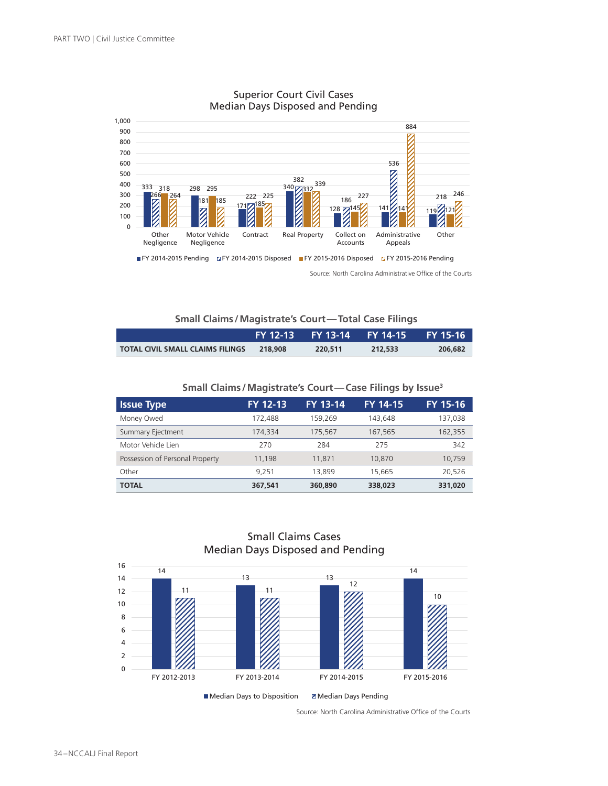

#### Superior Court Civil Cases Median Days Disposed and Pending

Source: North Carolina Administrative Office of the Courts

#### **Small Claims /Magistrate's Court—Total Case Filings**

|                                         |         | FY 12-13  FY 13-14  FY 14-15 |         | <b>FY 15-16</b> |
|-----------------------------------------|---------|------------------------------|---------|-----------------|
| <b>TOTAL CIVIL SMALL CLAIMS FILINGS</b> | 218.908 | 220.511                      | 212.533 | 206,682         |

#### **Small Claims /Magistrate's Court—Case Filings by Issue3**

| <b>Issue Type</b>               | FY 12-13 | <b>FY 13-14</b> | <b>FY 14-15</b> | FY 15-16 |
|---------------------------------|----------|-----------------|-----------------|----------|
| Money Owed                      | 172,488  | 159.269         | 143.648         | 137,038  |
| Summary Ejectment               | 174,334  | 175.567         | 167,565         | 162,355  |
| Motor Vehicle Lien              | 270      | 284             | 275             | 342      |
| Possession of Personal Property | 11,198   | 11,871          | 10,870          | 10.759   |
| Other                           | 9.251    | 13,899          | 15,665          | 20.526   |
| <b>TOTAL</b>                    | 367,541  | 360,890         | 338,023         | 331,020  |



#### Small Claims Cases Median Days Disposed and Pending

Source: North Carolina Administrative Office of the Courts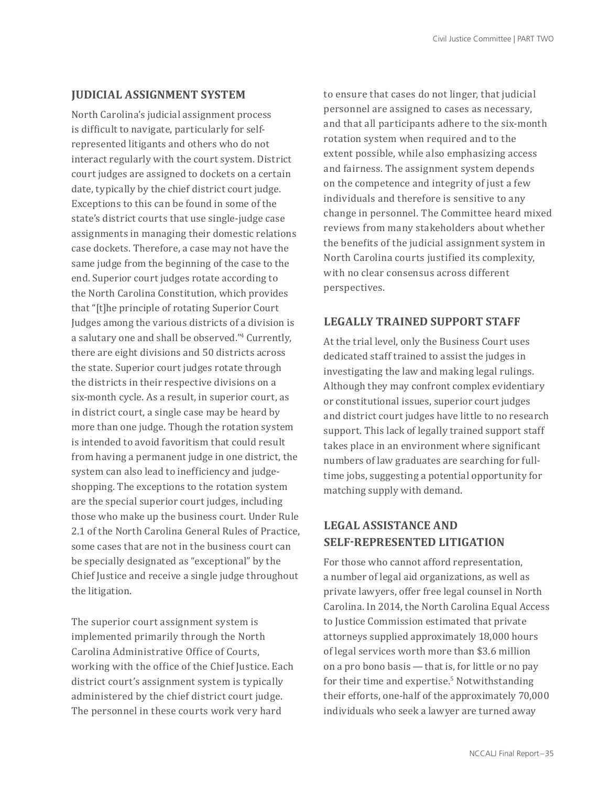#### **JUDICIAL ASSIGNMENT SYSTEM**

North Carolina's judicial assignment process is difficult to navigate, particularly for selfrepresented litigants and others who do not interact regularly with the court system. District court judges are assigned to dockets on a certain date, typically by the chief district court judge. Exceptions to this can be found in some of the state's district courts that use single-judge case assignments in managing their domestic relations case dockets. Therefore, a case may not have the same judge from the beginning of the case to the end. Superior court judges rotate according to the North Carolina Constitution, which provides that "[t]he principle of rotating Superior Court Judges among the various districts of a division is a salutary one and shall be observed."4 Currently, there are eight divisions and 50 districts across the state. Superior court judges rotate through the districts in their respective divisions on a six-month cycle. As a result, in superior court, as in district court, a single case may be heard by more than one judge. Though the rotation system is intended to avoid favoritism that could result from having a permanent judge in one district, the system can also lead to inefficiency and judgeshopping. The exceptions to the rotation system are the special superior court judges, including those who make up the business court. Under Rule 2.1 of the North Carolina General Rules of Practice, some cases that are not in the business court can be specially designated as "exceptional" by the Chief Justice and receive a single judge throughout the litigation.

The superior court assignment system is implemented primarily through the North Carolina Administrative Office of Courts, working with the office of the Chief Justice. Each district court's assignment system is typically administered by the chief district court judge. The personnel in these courts work very hard

to ensure that cases do not linger, that judicial personnel are assigned to cases as necessary, and that all participants adhere to the six-month rotation system when required and to the extent possible, while also emphasizing access and fairness. The assignment system depends on the competence and integrity of just a few individuals and therefore is sensitive to any change in personnel. The Committee heard mixed reviews from many stakeholders about whether the benefits of the judicial assignment system in North Carolina courts justified its complexity, with no clear consensus across different perspectives.

#### **LEGALLY TRAINED SUPPORT STAFF**

At the trial level, only the Business Court uses dedicated staff trained to assist the judges in investigating the law and making legal rulings. Although they may confront complex evidentiary or constitutional issues, superior court judges and district court judges have little to no research support. This lack of legally trained support staff takes place in an environment where significant numbers of law graduates are searching for fulltime jobs, suggesting a potential opportunity for matching supply with demand.

#### **LEGAL ASSISTANCE AND SELF-REPRESENTED LITIGATION**

For those who cannot afford representation, a number of legal aid organizations, as well as private lawyers, offer free legal counsel in North Carolina. In 2014, the North Carolina Equal Access to Justice Commission estimated that private attorneys supplied approximately 18,000 hours of legal services worth more than \$3.6 million on a pro bono basis — that is, for little or no pay for their time and expertise.<sup>5</sup> Notwithstanding their efforts, one-half of the approximately 70,000 individuals who seek a lawyer are turned away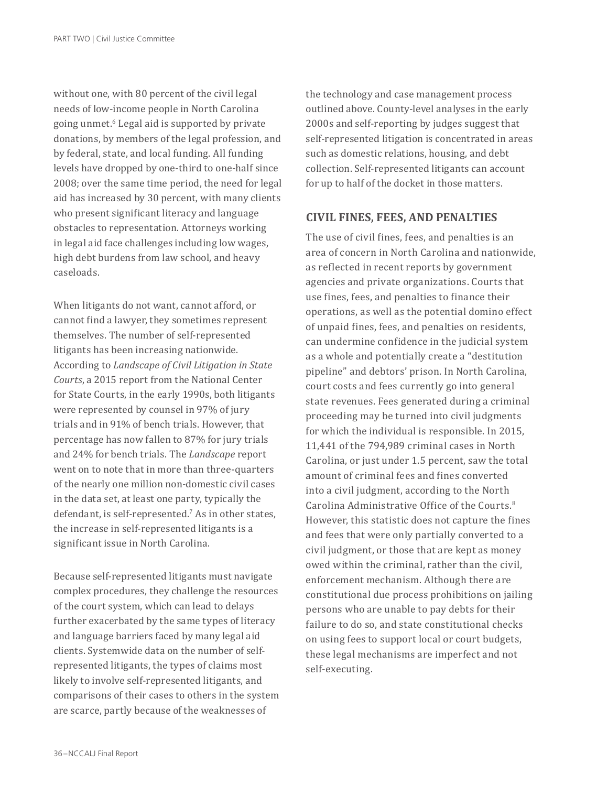without one, with 80 percent of the civil legal needs of low-income people in North Carolina going unmet.<sup>6</sup> Legal aid is supported by private donations, by members of the legal profession, and by federal, state, and local funding. All funding levels have dropped by one-third to one-half since 2008; over the same time period, the need for legal aid has increased by 30 percent, with many clients who present significant literacy and language obstacles to representation. Attorneys working in legal aid face challenges including low wages, high debt burdens from law school, and heavy caseloads.

When litigants do not want, cannot afford, or cannot find a lawyer, they sometimes represent themselves. The number of self-represented litigants has been increasing nationwide. According to *Landscape of Civil Litigation in State Courts*, a 2015 report from the National Center for State Courts, in the early 1990s, both litigants were represented by counsel in 97% of jury trials and in 91% of bench trials. However, that percentage has now fallen to 87% for jury trials and 24% for bench trials. The *Landscape* report went on to note that in more than three-quarters of the nearly one million non-domestic civil cases in the data set, at least one party, typically the defendant, is self-represented.7 As in other states, the increase in self-represented litigants is a significant issue in North Carolina.

Because self-represented litigants must navigate complex procedures, they challenge the resources of the court system, which can lead to delays further exacerbated by the same types of literacy and language barriers faced by many legal aid clients. Systemwide data on the number of selfrepresented litigants, the types of claims most likely to involve self-represented litigants, and comparisons of their cases to others in the system are scarce, partly because of the weaknesses of

the technology and case management process outlined above. County-level analyses in the early 2000s and self-reporting by judges suggest that self-represented litigation is concentrated in areas such as domestic relations, housing, and debt collection. Self-represented litigants can account for up to half of the docket in those matters.

#### **CIVIL FINES, FEES, AND PENALTIES**

The use of civil fines, fees, and penalties is an area of concern in North Carolina and nationwide, as reflected in recent reports by government agencies and private organizations. Courts that use fines, fees, and penalties to finance their operations, as well as the potential domino effect of unpaid fines, fees, and penalties on residents, can undermine confidence in the judicial system as a whole and potentially create a "destitution pipeline" and debtors' prison. In North Carolina, court costs and fees currently go into general state revenues. Fees generated during a criminal proceeding may be turned into civil judgments for which the individual is responsible. In 2015, 11,441 of the 794,989 criminal cases in North Carolina, or just under 1.5 percent, saw the total amount of criminal fees and fines converted into a civil judgment, according to the North Carolina Administrative Office of the Courts.<sup>8</sup> However, this statistic does not capture the fines and fees that were only partially converted to a civil judgment, or those that are kept as money owed within the criminal, rather than the civil, enforcement mechanism. Although there are constitutional due process prohibitions on jailing persons who are unable to pay debts for their failure to do so, and state constitutional checks on using fees to support local or court budgets, these legal mechanisms are imperfect and not self-executing.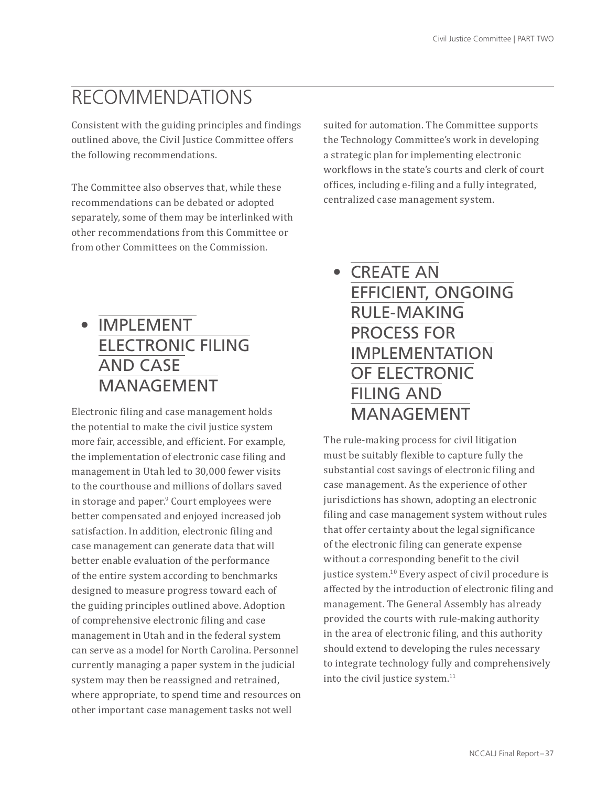## RECOMMENDATIONS

Consistent with the guiding principles and findings outlined above, the Civil Justice Committee offers the following recommendations.

The Committee also observes that, while these recommendations can be debated or adopted separately, some of them may be interlinked with other recommendations from this Committee or from other Committees on the Commission.

suited for automation. The Committee supports the Technology Committee's work in developing a strategic plan for implementing electronic workflows in the state's courts and clerk of court offices, including e-filing and a fully integrated, centralized case management system.

## • IMPLEMENT ELECTRONIC FILING AND CASE MANAGEMENT

Electronic filing and case management holds the potential to make the civil justice system more fair, accessible, and efficient. For example, the implementation of electronic case filing and management in Utah led to 30,000 fewer visits to the courthouse and millions of dollars saved in storage and paper.9 Court employees were better compensated and enjoyed increased job satisfaction. In addition, electronic filing and case management can generate data that will better enable evaluation of the performance of the entire system according to benchmarks designed to measure progress toward each of the guiding principles outlined above. Adoption of comprehensive electronic filing and case management in Utah and in the federal system can serve as a model for North Carolina. Personnel currently managing a paper system in the judicial system may then be reassigned and retrained, where appropriate, to spend time and resources on other important case management tasks not well

• CREATE AN EFFICIENT, ONGOING RULE-MAKING PROCESS FOR IMPLEMENTATION OF ELECTRONIC FILING AND MANAGEMENT

The rule-making process for civil litigation must be suitably flexible to capture fully the substantial cost savings of electronic filing and case management. As the experience of other jurisdictions has shown, adopting an electronic filing and case management system without rules that offer certainty about the legal significance of the electronic filing can generate expense without a corresponding benefit to the civil justice system.<sup>10</sup> Every aspect of civil procedure is affected by the introduction of electronic filing and management. The General Assembly has already provided the courts with rule-making authority in the area of electronic filing, and this authority should extend to developing the rules necessary to integrate technology fully and comprehensively into the civil justice system.<sup>11</sup>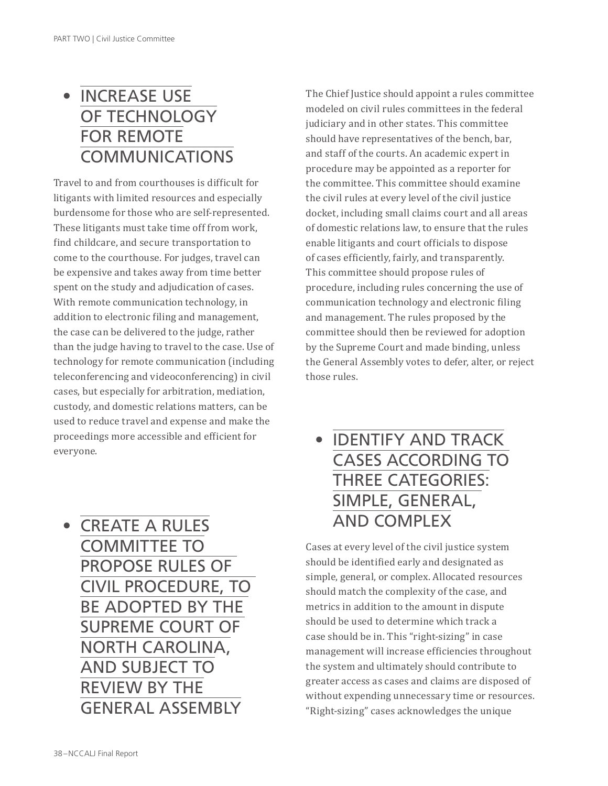## • INCREASE USE OF TECHNOLOGY FOR REMOTE COMMUNICATIONS

Travel to and from courthouses is difficult for litigants with limited resources and especially burdensome for those who are self-represented. These litigants must take time off from work, find childcare, and secure transportation to come to the courthouse. For judges, travel can be expensive and takes away from time better spent on the study and adjudication of cases. With remote communication technology, in addition to electronic filing and management, the case can be delivered to the judge, rather than the judge having to travel to the case. Use of technology for remote communication (including teleconferencing and videoconferencing) in civil cases, but especially for arbitration, mediation, custody, and domestic relations matters, can be used to reduce travel and expense and make the proceedings more accessible and efficient for everyone.

• CREATE A RULES COMMITTEE TO PROPOSE RULES OF CIVIL PROCEDURE, TO BE ADOPTED BY THE SUPREME COURT OF NORTH CAROLINA, AND SUBJECT TO REVIEW BY THE GENERAL ASSEMBLY

The Chief Justice should appoint a rules committee modeled on civil rules committees in the federal judiciary and in other states. This committee should have representatives of the bench, bar, and staff of the courts. An academic expert in procedure may be appointed as a reporter for the committee. This committee should examine the civil rules at every level of the civil justice docket, including small claims court and all areas of domestic relations law, to ensure that the rules enable litigants and court officials to dispose of cases efficiently, fairly, and transparently. This committee should propose rules of procedure, including rules concerning the use of communication technology and electronic filing and management. The rules proposed by the committee should then be reviewed for adoption by the Supreme Court and made binding, unless the General Assembly votes to defer, alter, or reject those rules.

## • IDENTIFY AND TRACK CASES ACCORDING TO THREE CATEGORIES: SIMPLE, GENERAL, AND COMPLEX

Cases at every level of the civil justice system should be identified early and designated as simple, general, or complex. Allocated resources should match the complexity of the case, and metrics in addition to the amount in dispute should be used to determine which track a case should be in. This "right-sizing" in case management will increase efficiencies throughout the system and ultimately should contribute to greater access as cases and claims are disposed of without expending unnecessary time or resources. "Right-sizing" cases acknowledges the unique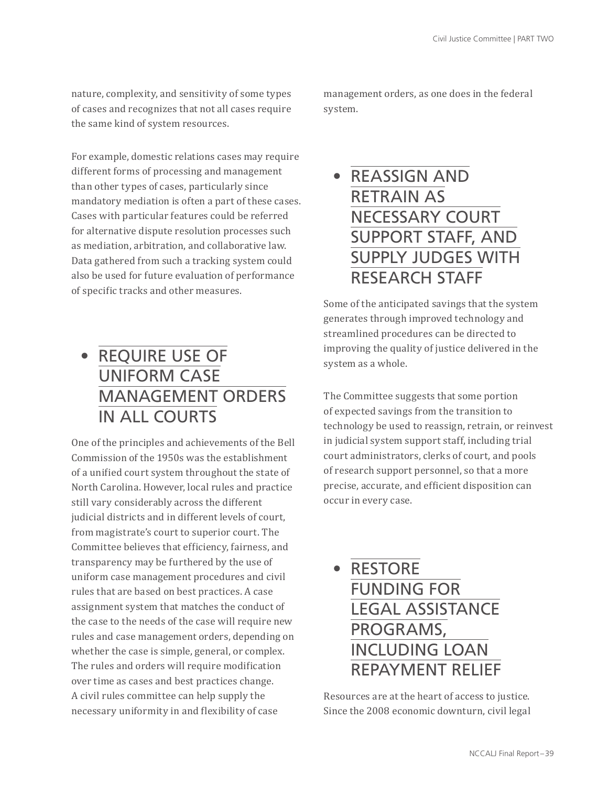nature, complexity, and sensitivity of some types of cases and recognizes that not all cases require the same kind of system resources.

For example, domestic relations cases may require different forms of processing and management than other types of cases, particularly since mandatory mediation is often a part of these cases. Cases with particular features could be referred for alternative dispute resolution processes such as mediation, arbitration, and collaborative law. Data gathered from such a tracking system could also be used for future evaluation of performance of specific tracks and other measures.

## • REQUIRE USE OF UNIFORM CASE MANAGEMENT ORDERS IN ALL COURTS

One of the principles and achievements of the Bell Commission of the 1950s was the establishment of a unified court system throughout the state of North Carolina. However, local rules and practice still vary considerably across the different judicial districts and in different levels of court, from magistrate's court to superior court. The Committee believes that efficiency, fairness, and transparency may be furthered by the use of uniform case management procedures and civil rules that are based on best practices. A case assignment system that matches the conduct of the case to the needs of the case will require new rules and case management orders, depending on whether the case is simple, general, or complex. The rules and orders will require modification over time as cases and best practices change. A civil rules committee can help supply the necessary uniformity in and flexibility of case

management orders, as one does in the federal system.

### • REASSIGN AND RETRAIN AS NECESSARY COURT SUPPORT STAFF, AND SUPPLY JUDGES WITH RESEARCH STAFF

Some of the anticipated savings that the system generates through improved technology and streamlined procedures can be directed to improving the quality of justice delivered in the system as a whole.

The Committee suggests that some portion of expected savings from the transition to technology be used to reassign, retrain, or reinvest in judicial system support staff, including trial court administrators, clerks of court, and pools of research support personnel, so that a more precise, accurate, and efficient disposition can occur in every case.



Resources are at the heart of access to justice. Since the 2008 economic downturn, civil legal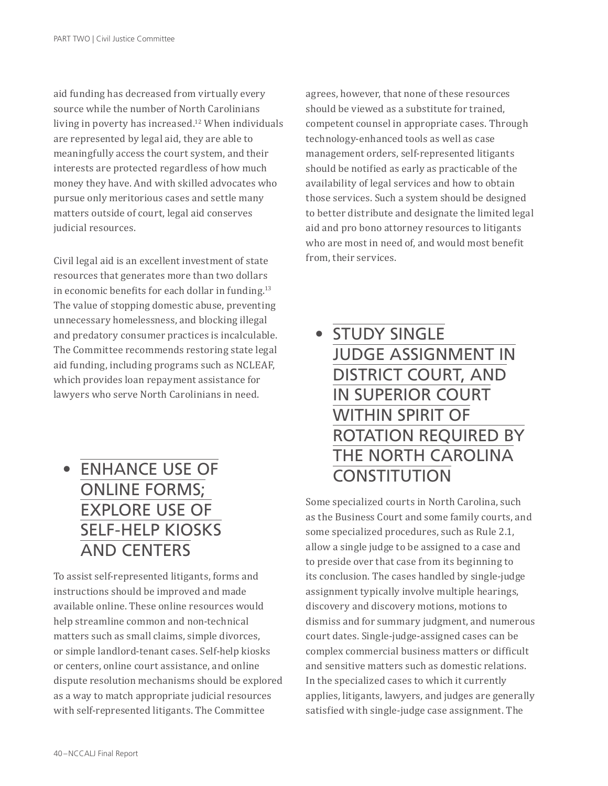aid funding has decreased from virtually every source while the number of North Carolinians living in poverty has increased.<sup>12</sup> When individuals are represented by legal aid, they are able to meaningfully access the court system, and their interests are protected regardless of how much money they have. And with skilled advocates who pursue only meritorious cases and settle many matters outside of court, legal aid conserves judicial resources.

Civil legal aid is an excellent investment of state resources that generates more than two dollars in economic benefits for each dollar in funding.<sup>13</sup> The value of stopping domestic abuse, preventing unnecessary homelessness, and blocking illegal and predatory consumer practices is incalculable. The Committee recommends restoring state legal aid funding, including programs such as NCLEAF, which provides loan repayment assistance for lawyers who serve North Carolinians in need.

• ENHANCE USE OF ONLINE FORMS; EXPLORE USE OF SELF-HELP KIOSKS AND CENTERS

To assist self-represented litigants, forms and instructions should be improved and made available online. These online resources would help streamline common and non-technical matters such as small claims, simple divorces, or simple landlord-tenant cases. Self-help kiosks or centers, online court assistance, and online dispute resolution mechanisms should be explored as a way to match appropriate judicial resources with self-represented litigants. The Committee

agrees, however, that none of these resources should be viewed as a substitute for trained, competent counsel in appropriate cases. Through technology-enhanced tools as well as case management orders, self-represented litigants should be notified as early as practicable of the availability of legal services and how to obtain those services. Such a system should be designed to better distribute and designate the limited legal aid and pro bono attorney resources to litigants who are most in need of, and would most benefit from, their services.

## • STUDY SINGLE JUDGE ASSIGNMENT IN DISTRICT COURT, AND IN SUPERIOR COURT WITHIN SPIRIT OF ROTATION REQUIRED BY THE NORTH CAROLINA **CONSTITUTION**

Some specialized courts in North Carolina, such as the Business Court and some family courts, and some specialized procedures, such as Rule 2.1, allow a single judge to be assigned to a case and to preside over that case from its beginning to its conclusion. The cases handled by single-judge assignment typically involve multiple hearings, discovery and discovery motions, motions to dismiss and for summary judgment, and numerous court dates. Single-judge-assigned cases can be complex commercial business matters or difficult and sensitive matters such as domestic relations. In the specialized cases to which it currently applies, litigants, lawyers, and judges are generally satisfied with single-judge case assignment. The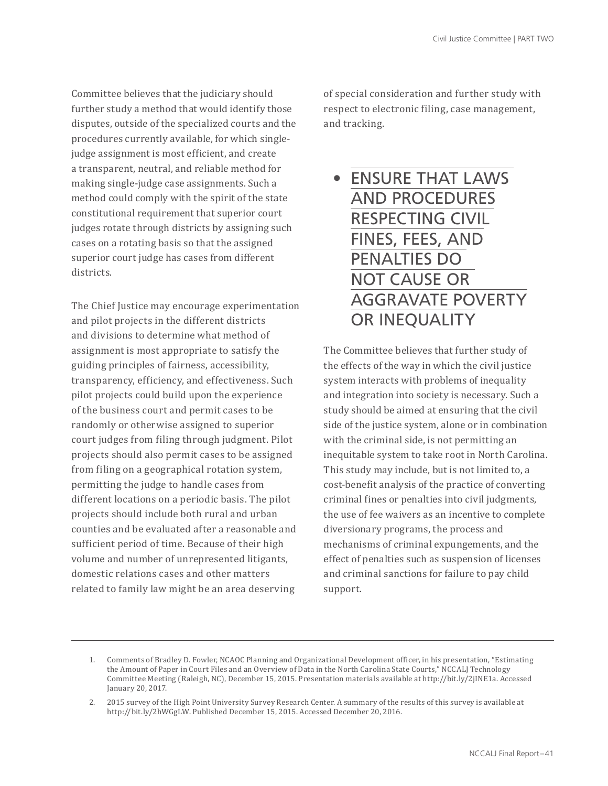Committee believes that the judiciary should further study a method that would identify those disputes, outside of the specialized courts and the procedures currently available, for which singlejudge assignment is most efficient, and create a transparent, neutral, and reliable method for making single-judge case assignments. Such a method could comply with the spirit of the state constitutional requirement that superior court judges rotate through districts by assigning such cases on a rotating basis so that the assigned superior court judge has cases from different districts.

The Chief Justice may encourage experimentation and pilot projects in the different districts and divisions to determine what method of assignment is most appropriate to satisfy the guiding principles of fairness, accessibility, transparency, efficiency, and effectiveness. Such pilot projects could build upon the experience of the business court and permit cases to be randomly or otherwise assigned to superior court judges from filing through judgment. Pilot projects should also permit cases to be assigned from filing on a geographical rotation system, permitting the judge to handle cases from different locations on a periodic basis. The pilot projects should include both rural and urban counties and be evaluated after a reasonable and sufficient period of time. Because of their high volume and number of unrepresented litigants, domestic relations cases and other matters related to family law might be an area deserving

of special consideration and further study with respect to electronic filing, case management, and tracking.

• ENSURE THAT LAWS AND PROCEDURES RESPECTING CIVIL FINES, FEES, AND PENALTIES DO NOT CAUSE OR AGGRAVATE POVERTY OR INEQUALITY

The Committee believes that further study of the effects of the way in which the civil justice system interacts with problems of inequality and integration into society is necessary. Such a study should be aimed at ensuring that the civil side of the justice system, alone or in combination with the criminal side, is not permitting an inequitable system to take root in North Carolina. This study may include, but is not limited to, a cost-benefit analysis of the practice of converting criminal fines or penalties into civil judgments, the use of fee waivers as an incentive to complete diversionary programs, the process and mechanisms of criminal expungements, and the effect of penalties such as suspension of licenses and criminal sanctions for failure to pay child support.

<sup>1.</sup> Comments of Bradley D. Fowler, NCAOC Planning and Organizational Development officer, in his presentation, "Estimating the Amount of Paper in Court Files and an Overview of Data in the North Carolina State Courts," NCCALJ Technology Committee Meeting (Raleigh, NC), December 15, 2015. Presentation materials available at http://bit.ly/2jINE1a. Accessed January 20, 2017.

<sup>2.</sup> 2015 survey of the High Point University Survey Research Center. A summary of the results of this survey is available at http://bit.ly/2hWGgLW. Published December 15, 2015. Accessed December 20, 2016.